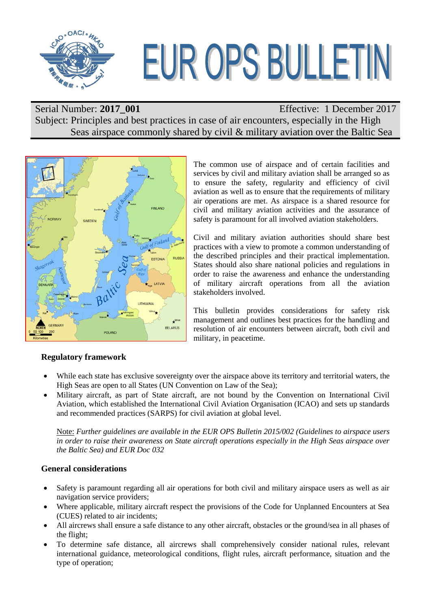

# EUR OPS BULLETIN

Serial Number: 2017\_001 Effective: 1 December 2017 Subject: Principles and best practices in case of air encounters, especially in the High Seas airspace commonly shared by civil & military aviation over the Baltic Sea



The common use of airspace and of certain facilities and services by civil and military aviation shall be arranged so as to ensure the safety, regularity and efficiency of civil aviation as well as to ensure that the requirements of military air operations are met. As airspace is a shared resource for civil and military aviation activities and the assurance of safety is paramount for all involved aviation stakeholders.

Civil and military aviation authorities should share best practices with a view to promote a common understanding of the described principles and their practical implementation. States should also share national policies and regulations in order to raise the awareness and enhance the understanding of military aircraft operations from all the aviation stakeholders involved.

This bulletin provides considerations for safety risk management and outlines best practices for the handling and resolution of air encounters between aircraft, both civil and military, in peacetime.

# **Regulatory framework**

- While each state has exclusive sovereignty over the airspace above its territory and territorial waters, the High Seas are open to all States (UN Convention on Law of the Sea);
- Military aircraft, as part of State aircraft, are not bound by the Convention on International Civil Aviation, which established the International Civil Aviation Organisation (ICAO) and sets up standards and recommended practices (SARPS) for civil aviation at global level.

Note: *Further guidelines are available in the EUR OPS Bulletin 2015/002 (Guidelines to airspace users in order to raise their awareness on State aircraft operations especially in the High Seas airspace over the Baltic Sea) and EUR Doc 032*

# **General considerations**

- Safety is paramount regarding all air operations for both civil and military airspace users as well as air navigation service providers;
- Where applicable, military aircraft respect the provisions of the Code for Unplanned Encounters at Sea (CUES) related to air incidents;
- All aircrews shall ensure a safe distance to any other aircraft, obstacles or the ground/sea in all phases of the flight;
- To determine safe distance, all aircrews shall comprehensively consider national rules, relevant international guidance, meteorological conditions, flight rules, aircraft performance, situation and the type of operation;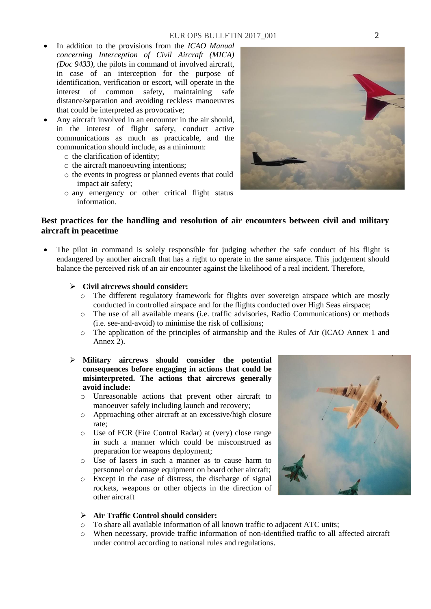- In addition to the provisions from the *ICAO Manual concerning Interception of Civil Aircraft (MICA) (Doc 9433),* the pilots in command of involved aircraft, in case of an interception for the purpose of identification, verification or escort, will operate in the interest of common safety, maintaining safe distance/separation and avoiding reckless manoeuvres that could be interpreted as provocative;
- Any aircraft involved in an encounter in the air should, in the interest of flight safety, conduct active communications as much as practicable, and the communication should include, as a minimum:
	- o the clarification of identity;
	- o the aircraft manoeuvring intentions;
	- o the events in progress or planned events that could impact air safety;
	- o any emergency or other critical flight status information.

# **Best practices for the handling and resolution of air encounters between civil and military aircraft in peacetime**

 The pilot in command is solely responsible for judging whether the safe conduct of his flight is endangered by another aircraft that has a right to operate in the same airspace. This judgement should balance the perceived risk of an air encounter against the likelihood of a real incident. Therefore,

### **Civil aircrews should consider:**

- o The different regulatory framework for flights over sovereign airspace which are mostly conducted in controlled airspace and for the flights conducted over High Seas airspace;
- o The use of all available means (i.e. traffic advisories, Radio Communications) or methods (i.e. see-and-avoid) to minimise the risk of collisions;
- o The application of the principles of airmanship and the Rules of Air (ICAO Annex 1 and Annex 2).

## **Military aircrews should consider the potential consequences before engaging in actions that could be misinterpreted. The actions that aircrews generally avoid include:**

- o Unreasonable actions that prevent other aircraft to manoeuver safely including launch and recovery;
- o Approaching other aircraft at an excessive/high closure rate;
- o Use of FCR (Fire Control Radar) at (very) close range in such a manner which could be misconstrued as preparation for weapons deployment;
- o Use of lasers in such a manner as to cause harm to personnel or damage equipment on board other aircraft;
- o Except in the case of distress, the discharge of signal rockets, weapons or other objects in the direction of other aircraft

### **Air Traffic Control should consider:**

- o To share all available information of all known traffic to adjacent ATC units;
- o When necessary, provide traffic information of non-identified traffic to all affected aircraft under control according to national rules and regulations.